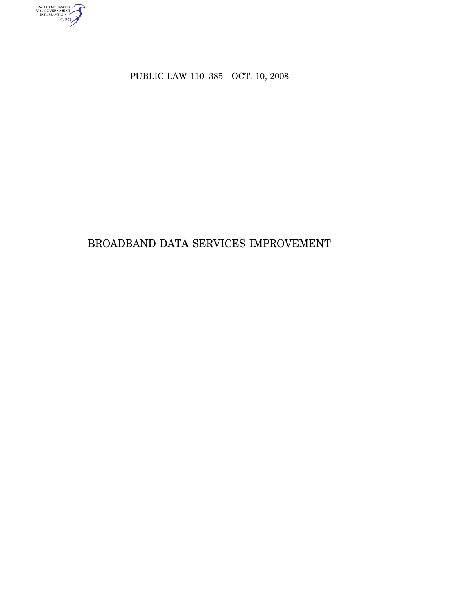AUTHENTICATED

PUBLIC LAW 110–385—OCT. 10, 2008

# BROADBAND DATA SERVICES IMPROVEMENT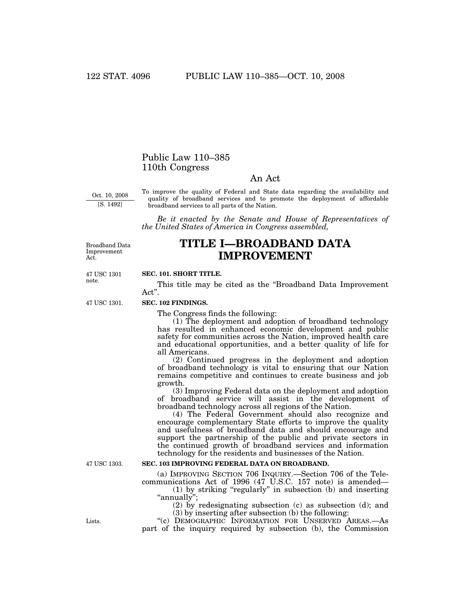# Public Law 110–385 110th Congress

# An Act

Oct. 10, 2008 [S. 1492]

To improve the quality of Federal and State data regarding the availability and quality of broadband services and to promote the deployment of affordable broadband services to all parts of the Nation.

*Be it enacted by the Senate and House of Representatives of the United States of America in Congress assembled,* 

Broadband Data Improvement Act.

# **TITLE I—BROADBAND DATA IMPROVEMENT**

47 USC 1301 note.

47 USC 1301.

#### **SEC. 101. SHORT TITLE.**

This title may be cited as the ''Broadband Data Improvement Act''.

### **SEC. 102 FINDINGS.**

The Congress finds the following:

(1) The deployment and adoption of broadband technology has resulted in enhanced economic development and public safety for communities across the Nation, improved health care and educational opportunities, and a better quality of life for all Americans.

(2) Continued progress in the deployment and adoption of broadband technology is vital to ensuring that our Nation remains competitive and continues to create business and job growth.

(3) Improving Federal data on the deployment and adoption of broadband service will assist in the development of broadband technology across all regions of the Nation.

(4) The Federal Government should also recognize and encourage complementary State efforts to improve the quality and usefulness of broadband data and should encourage and support the partnership of the public and private sectors in the continued growth of broadband services and information technology for the residents and businesses of the Nation.

#### **SEC. 103 IMPROVING FEDERAL DATA ON BROADBAND.**

(a) IMPROVING SECTION 706 INQUIRY.—Section 706 of the Telecommunications Act of 1996 (47 U.S.C. 157 note) is amended—

(1) by striking ''regularly'' in subsection (b) and inserting ''annually'';

(2) by redesignating subsection (c) as subsection (d); and (3) by inserting after subsection (b) the following:

"(c) DEMOGRAPHIC INFORMATION FOR UNSERVED AREAS.-As part of the inquiry required by subsection (b), the Commission

47 USC 1303.

Lists.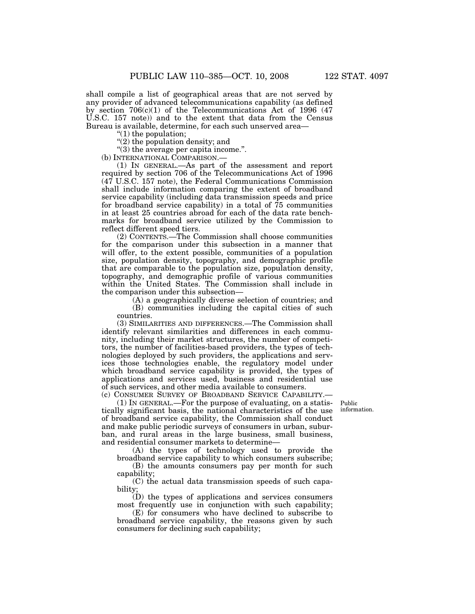shall compile a list of geographical areas that are not served by any provider of advanced telecommunications capability (as defined by section 706(c)(1) of the Telecommunications Act of 1996 (47 U.S.C. 157 note)) and to the extent that data from the Census Bureau is available, determine, for each such unserved area—

''(1) the population;

"(2) the population density; and

''(3) the average per capita income.''.

(b) INTERNATIONAL COMPARISON.—

(1) IN GENERAL.—As part of the assessment and report required by section 706 of the Telecommunications Act of 1996 (47 U.S.C. 157 note), the Federal Communications Commission shall include information comparing the extent of broadband service capability (including data transmission speeds and price for broadband service capability) in a total of 75 communities in at least 25 countries abroad for each of the data rate benchmarks for broadband service utilized by the Commission to reflect different speed tiers.

(2) CONTENTS.—The Commission shall choose communities for the comparison under this subsection in a manner that will offer, to the extent possible, communities of a population size, population density, topography, and demographic profile that are comparable to the population size, population density, topography, and demographic profile of various communities within the United States. The Commission shall include in the comparison under this subsection—

(A) a geographically diverse selection of countries; and (B) communities including the capital cities of such countries.

(3) SIMILARITIES AND DIFFERENCES.—The Commission shall identify relevant similarities and differences in each community, including their market structures, the number of competitors, the number of facilities-based providers, the types of technologies deployed by such providers, the applications and services those technologies enable, the regulatory model under which broadband service capability is provided, the types of applications and services used, business and residential use of such services, and other media available to consumers.

(c) CONSUMER SURVEY OF BROADBAND SERVICE CAPABILITY.—

Public information.

(1) IN GENERAL.—For the purpose of evaluating, on a statistically significant basis, the national characteristics of the use of broadband service capability, the Commission shall conduct and make public periodic surveys of consumers in urban, suburban, and rural areas in the large business, small business, and residential consumer markets to determine—

(A) the types of technology used to provide the broadband service capability to which consumers subscribe;

(B) the amounts consumers pay per month for such capability;

(C) the actual data transmission speeds of such capability;

(D) the types of applications and services consumers most frequently use in conjunction with such capability;

(E) for consumers who have declined to subscribe to broadband service capability, the reasons given by such consumers for declining such capability;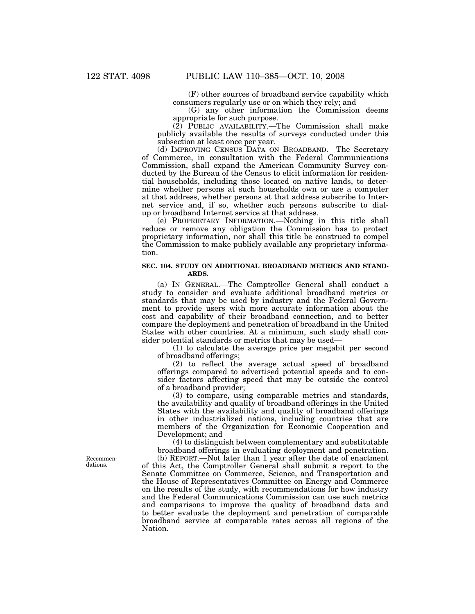(F) other sources of broadband service capability which consumers regularly use or on which they rely; and

(G) any other information the Commission deems appropriate for such purpose.

 $(2)$  PUBLIC AVAILABILITY.—The Commission shall make publicly available the results of surveys conducted under this subsection at least once per year.

(d) IMPROVING CENSUS DATA ON BROADBAND.—The Secretary of Commerce, in consultation with the Federal Communications Commission, shall expand the American Community Survey conducted by the Bureau of the Census to elicit information for residential households, including those located on native lands, to determine whether persons at such households own or use a computer at that address, whether persons at that address subscribe to Internet service and, if so, whether such persons subscribe to dialup or broadband Internet service at that address.

(e) PROPRIETARY INFORMATION.—Nothing in this title shall reduce or remove any obligation the Commission has to protect proprietary information, nor shall this title be construed to compel the Commission to make publicly available any proprietary information.

### **SEC. 104. STUDY ON ADDITIONAL BROADBAND METRICS AND STAND-ARDS.**

(a) IN GENERAL.—The Comptroller General shall conduct a study to consider and evaluate additional broadband metrics or standards that may be used by industry and the Federal Government to provide users with more accurate information about the cost and capability of their broadband connection, and to better compare the deployment and penetration of broadband in the United States with other countries. At a minimum, such study shall consider potential standards or metrics that may be used—

(1) to calculate the average price per megabit per second of broadband offerings;

(2) to reflect the average actual speed of broadband offerings compared to advertised potential speeds and to consider factors affecting speed that may be outside the control of a broadband provider;

(3) to compare, using comparable metrics and standards, the availability and quality of broadband offerings in the United States with the availability and quality of broadband offerings in other industrialized nations, including countries that are members of the Organization for Economic Cooperation and Development; and

(4) to distinguish between complementary and substitutable broadband offerings in evaluating deployment and penetration. (b) REPORT.—Not later than 1 year after the date of enactment

of this Act, the Comptroller General shall submit a report to the Senate Committee on Commerce, Science, and Transportation and the House of Representatives Committee on Energy and Commerce on the results of the study, with recommendations for how industry and the Federal Communications Commission can use such metrics and comparisons to improve the quality of broadband data and to better evaluate the deployment and penetration of comparable broadband service at comparable rates across all regions of the Nation.

Recommendations.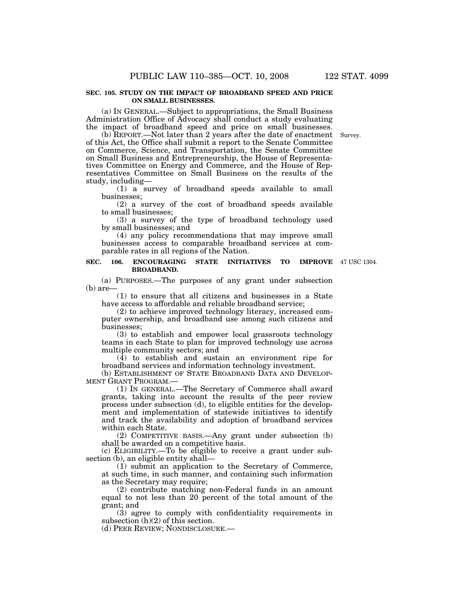#### **SEC. 105. STUDY ON THE IMPACT OF BROADBAND SPEED AND PRICE ON SMALL BUSINESSES.**

(a) IN GENERAL.—Subject to appropriations, the Small Business Administration Office of Advocacy shall conduct a study evaluating the impact of broadband speed and price on small businesses.

(b) REPORT.—Not later than 2 years after the date of enactment of this Act, the Office shall submit a report to the Senate Committee on Commerce, Science, and Transportation, the Senate Committee on Small Business and Entrepreneurship, the House of Representatives Committee on Energy and Commerce, and the House of Representatives Committee on Small Business on the results of the study, including—

(1) a survey of broadband speeds available to small businesses;

(2) a survey of the cost of broadband speeds available to small businesses;

(3) a survey of the type of broadband technology used by small businesses; and

(4) any policy recommendations that may improve small businesses access to comparable broadband services at comparable rates in all regions of the Nation.

#### SEC. 106. ENCOURAGING STATE INITIATIVES TO **BROADBAND. IMPROVE** 47 USC 1304.

(a) PURPOSES.—The purposes of any grant under subsection  $(b)$  are-

(1) to ensure that all citizens and businesses in a State have access to affordable and reliable broadband service;

(2) to achieve improved technology literacy, increased computer ownership, and broadband use among such citizens and businesses;

(3) to establish and empower local grassroots technology teams in each State to plan for improved technology use across multiple community sectors; and

 $(4)$  to establish and sustain an environment ripe for broadband services and information technology investment.

(b) ESTABLISHMENT OF STATE BROADBAND DATA AND DEVELOP-MENT GRANT PROGRAM.—

(1) IN GENERAL.—The Secretary of Commerce shall award grants, taking into account the results of the peer review process under subsection (d), to eligible entities for the development and implementation of statewide initiatives to identify and track the availability and adoption of broadband services within each State.

(2) COMPETITIVE BASIS.—Any grant under subsection (b) shall be awarded on a competitive basis.

(c) ELIGIBILITY.—To be eligible to receive a grant under subsection (b), an eligible entity shall—

(1) submit an application to the Secretary of Commerce, at such time, in such manner, and containing such information as the Secretary may require;

(2) contribute matching non-Federal funds in an amount equal to not less than 20 percent of the total amount of the grant; and

(3) agree to comply with confidentiality requirements in subsection (h)(2) of this section.

(d) PEER REVIEW; NONDISCLOSURE.—

Survey.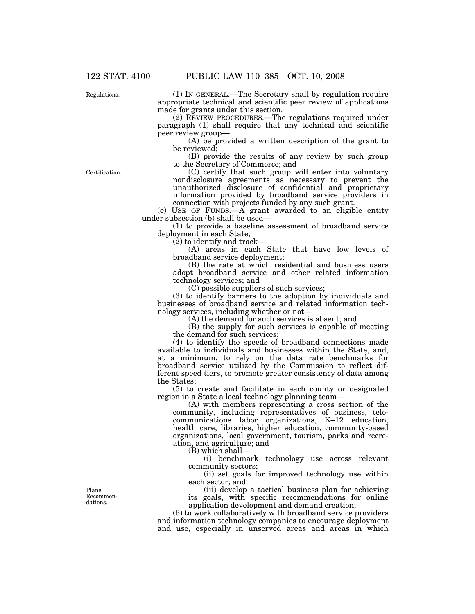Regulations.

(1) IN GENERAL.—The Secretary shall by regulation require appropriate technical and scientific peer review of applications made for grants under this section.

(2) REVIEW PROCEDURES.—The regulations required under paragraph (1) shall require that any technical and scientific peer review group—

(A) be provided a written description of the grant to be reviewed;

(B) provide the results of any review by such group to the Secretary of Commerce; and

Certification.

(C) certify that such group will enter into voluntary nondisclosure agreements as necessary to prevent the unauthorized disclosure of confidential and proprietary information provided by broadband service providers in connection with projects funded by any such grant.

(e) USE OF FUNDS.—A grant awarded to an eligible entity under subsection (b) shall be used—

(1) to provide a baseline assessment of broadband service deployment in each State;

(2) to identify and track—

(A) areas in each State that have low levels of broadband service deployment;

(B) the rate at which residential and business users adopt broadband service and other related information technology services; and

(C) possible suppliers of such services;

(3) to identify barriers to the adoption by individuals and businesses of broadband service and related information technology services, including whether or not—

(A) the demand for such services is absent; and

(B) the supply for such services is capable of meeting the demand for such services;

(4) to identify the speeds of broadband connections made available to individuals and businesses within the State, and, at a minimum, to rely on the data rate benchmarks for broadband service utilized by the Commission to reflect different speed tiers, to promote greater consistency of data among the States;

(5) to create and facilitate in each county or designated region in a State a local technology planning team—

(A) with members representing a cross section of the community, including representatives of business, telecommunications labor organizations, K–12 education, health care, libraries, higher education, community-based organizations, local government, tourism, parks and recreation, and agriculture; and

(B) which shall—

(i) benchmark technology use across relevant community sectors;

(ii) set goals for improved technology use within each sector; and

(iii) develop a tactical business plan for achieving its goals, with specific recommendations for online application development and demand creation;

(6) to work collaboratively with broadband service providers and information technology companies to encourage deployment and use, especially in unserved areas and areas in which

Plans. Recommendations.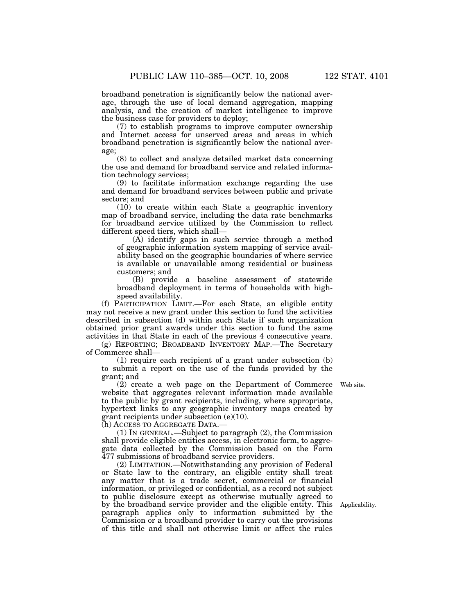broadband penetration is significantly below the national average, through the use of local demand aggregation, mapping analysis, and the creation of market intelligence to improve the business case for providers to deploy;

(7) to establish programs to improve computer ownership and Internet access for unserved areas and areas in which broadband penetration is significantly below the national average;

(8) to collect and analyze detailed market data concerning the use and demand for broadband service and related information technology services;

(9) to facilitate information exchange regarding the use and demand for broadband services between public and private sectors; and

(10) to create within each State a geographic inventory map of broadband service, including the data rate benchmarks for broadband service utilized by the Commission to reflect different speed tiers, which shall—

(A) identify gaps in such service through a method of geographic information system mapping of service availability based on the geographic boundaries of where service is available or unavailable among residential or business customers; and

(B) provide a baseline assessment of statewide broadband deployment in terms of households with highspeed availability.

(f) PARTICIPATION LIMIT.—For each State, an eligible entity may not receive a new grant under this section to fund the activities described in subsection (d) within such State if such organization obtained prior grant awards under this section to fund the same activities in that State in each of the previous 4 consecutive years.

(g) REPORTING; BROADBAND INVENTORY MAP.—The Secretary of Commerce shall—

(1) require each recipient of a grant under subsection (b) to submit a report on the use of the funds provided by the grant; and

(2) create a web page on the Department of Commerce website that aggregates relevant information made available to the public by grant recipients, including, where appropriate, hypertext links to any geographic inventory maps created by grant recipients under subsection (e)(10).

(h) ACCESS TO AGGREGATE DATA.—

(1) IN GENERAL.—Subject to paragraph (2), the Commission shall provide eligible entities access, in electronic form, to aggregate data collected by the Commission based on the Form 477 submissions of broadband service providers.

(2) LIMITATION.—Notwithstanding any provision of Federal or State law to the contrary, an eligible entity shall treat any matter that is a trade secret, commercial or financial information, or privileged or confidential, as a record not subject to public disclosure except as otherwise mutually agreed to by the broadband service provider and the eligible entity. This Applicability. paragraph applies only to information submitted by the Commission or a broadband provider to carry out the provisions of this title and shall not otherwise limit or affect the rules

Web site.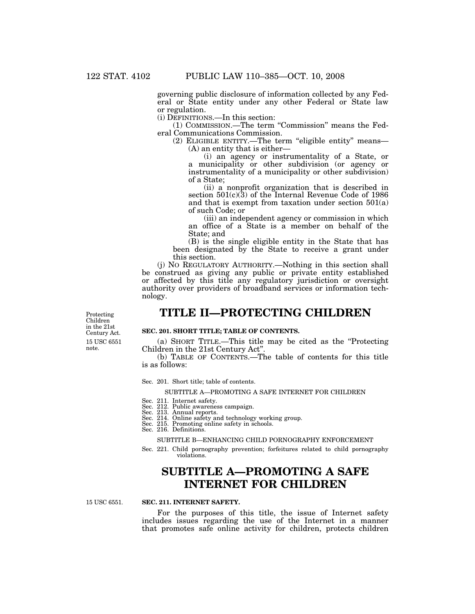governing public disclosure of information collected by any Federal or State entity under any other Federal or State law or regulation.

(i) DEFINITIONS.—In this section:

(1) COMMISSION.—The term ''Commission'' means the Federal Communications Commission.

(2) ELIGIBLE ENTITY.—The term ''eligible entity'' means— (A) an entity that is either—

(i) an agency or instrumentality of a State, or a municipality or other subdivision (or agency or instrumentality of a municipality or other subdivision) of a State;

(ii) a nonprofit organization that is described in section 501(c)(3) of the Internal Revenue Code of 1986 and that is exempt from taxation under section 501(a) of such Code; or

(iii) an independent agency or commission in which an office of a State is a member on behalf of the State; and

(B) is the single eligible entity in the State that has been designated by the State to receive a grant under this section.

(j) NO REGULATORY AUTHORITY.—Nothing in this section shall be construed as giving any public or private entity established or affected by this title any regulatory jurisdiction or oversight authority over providers of broadband services or information technology.

# **TITLE II—PROTECTING CHILDREN**

15 USC 6551 note. Protecting Children in the 21st Century Act.

### **SEC. 201. SHORT TITLE; TABLE OF CONTENTS.**

(a) SHORT TITLE.—This title may be cited as the ''Protecting Children in the 21st Century Act''.

(b) TABLE OF CONTENTS.—The table of contents for this title is as follows:

Sec. 201. Short title; table of contents.

#### SUBTITLE A—PROMOTING A SAFE INTERNET FOR CHILDREN

- Sec. 211. Internet safety.
- Sec. 212. Public awareness campaign.
- Sec. 213. Annual reports. Sec. 214. Online safety and technology working group. Sec. 215. Promoting online safety in schools.
- 
- Sec. 216. Definitions.

SUBTITLE B—ENHANCING CHILD PORNOGRAPHY ENFORCEMENT

Sec. 221. Child pornography prevention; forfeitures related to child pornography violations.

# **SUBTITLE A—PROMOTING A SAFE INTERNET FOR CHILDREN**

15 USC 6551.

### **SEC. 211. INTERNET SAFETY.**

For the purposes of this title, the issue of Internet safety includes issues regarding the use of the Internet in a manner that promotes safe online activity for children, protects children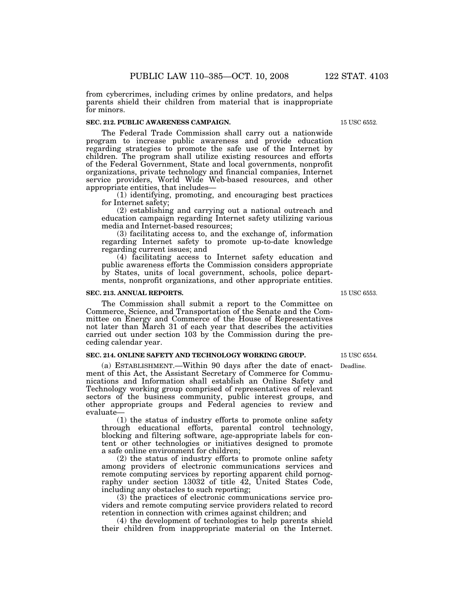from cybercrimes, including crimes by online predators, and helps parents shield their children from material that is inappropriate for minors.

### **SEC. 212. PUBLIC AWARENESS CAMPAIGN.**

The Federal Trade Commission shall carry out a nationwide program to increase public awareness and provide education regarding strategies to promote the safe use of the Internet by children. The program shall utilize existing resources and efforts of the Federal Government, State and local governments, nonprofit organizations, private technology and financial companies, Internet service providers, World Wide Web-based resources, and other appropriate entities, that includes—

(1) identifying, promoting, and encouraging best practices for Internet safety;

(2) establishing and carrying out a national outreach and education campaign regarding Internet safety utilizing various media and Internet-based resources;

(3) facilitating access to, and the exchange of, information regarding Internet safety to promote up-to-date knowledge regarding current issues; and

(4) facilitating access to Internet safety education and public awareness efforts the Commission considers appropriate by States, units of local government, schools, police departments, nonprofit organizations, and other appropriate entities.

#### **SEC. 213. ANNUAL REPORTS.**

The Commission shall submit a report to the Committee on Commerce, Science, and Transportation of the Senate and the Committee on Energy and Commerce of the House of Representatives not later than March 31 of each year that describes the activities carried out under section 103 by the Commission during the preceding calendar year.

#### **SEC. 214. ONLINE SAFETY AND TECHNOLOGY WORKING GROUP.**

(a) ESTABLISHMENT.—Within 90 days after the date of enactment of this Act, the Assistant Secretary of Commerce for Communications and Information shall establish an Online Safety and Technology working group comprised of representatives of relevant sectors of the business community, public interest groups, and other appropriate groups and Federal agencies to review and evaluate—

(1) the status of industry efforts to promote online safety through educational efforts, parental control technology, blocking and filtering software, age-appropriate labels for content or other technologies or initiatives designed to promote a safe online environment for children;

(2) the status of industry efforts to promote online safety among providers of electronic communications services and remote computing services by reporting apparent child pornography under section 13032 of title 42, United States Code, including any obstacles to such reporting;

(3) the practices of electronic communications service providers and remote computing service providers related to record retention in connection with crimes against children; and

(4) the development of technologies to help parents shield their children from inappropriate material on the Internet.

15 USC 6553.

15 USC 6554.

Deadline.

15 USC 6552.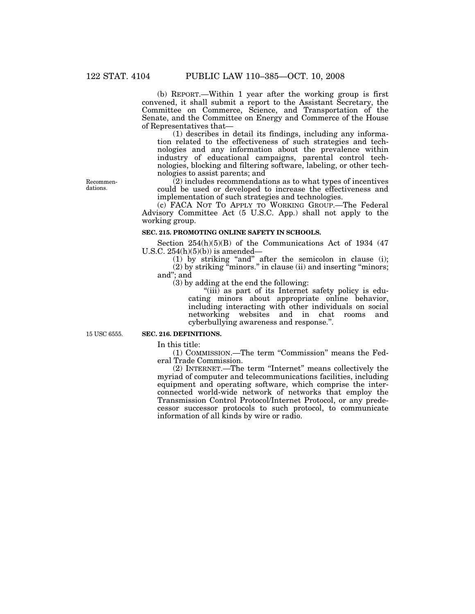(b) REPORT.—Within 1 year after the working group is first convened, it shall submit a report to the Assistant Secretary, the Committee on Commerce, Science, and Transportation of the Senate, and the Committee on Energy and Commerce of the House of Representatives that—

(1) describes in detail its findings, including any information related to the effectiveness of such strategies and technologies and any information about the prevalence within industry of educational campaigns, parental control technologies, blocking and filtering software, labeling, or other technologies to assist parents; and

Recommendations.

(2) includes recommendations as to what types of incentives could be used or developed to increase the effectiveness and implementation of such strategies and technologies.

(c) FACA NOT TO APPLY TO WORKING GROUP.—The Federal Advisory Committee Act (5 U.S.C. App.) shall not apply to the working group.

### **SEC. 215. PROMOTING ONLINE SAFETY IN SCHOOLS.**

Section 254(h)(5)(B) of the Communications Act of 1934 (47 U.S.C.  $254(h)(5)(b)$  is amended—

 $(1)$  by striking "and" after the semicolon in clause  $(i)$ ;  $(2)$  by striking "minors." in clause (ii) and inserting "minors; and''; and

(3) by adding at the end the following:

"(iii) as part of its Internet safety policy is educating minors about appropriate online behavior, including interacting with other individuals on social networking websites and in chat rooms and cyberbullying awareness and response.''.

15 USC 6555.

## **SEC. 216. DEFINITIONS.**

In this title:

(1) COMMISSION.—The term ''Commission'' means the Federal Trade Commission.

(2) INTERNET.—The term ''Internet'' means collectively the myriad of computer and telecommunications facilities, including equipment and operating software, which comprise the interconnected world-wide network of networks that employ the Transmission Control Protocol/Internet Protocol, or any predecessor successor protocols to such protocol, to communicate information of all kinds by wire or radio.